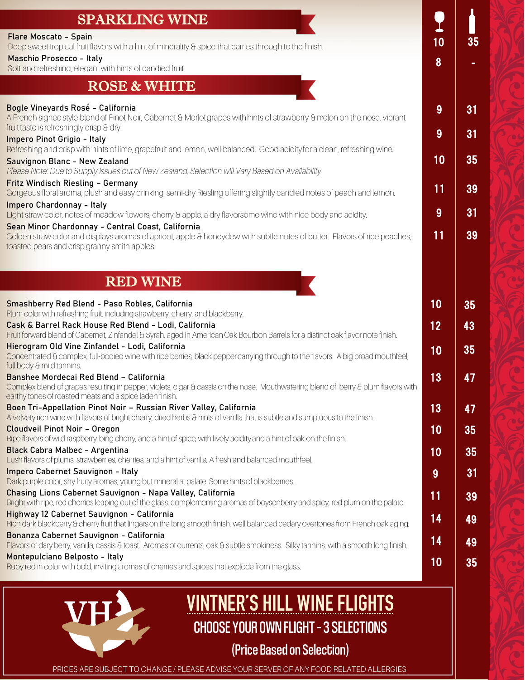## **Flare Moscato - Spain** SPARKLING WINE

Deep sweet tropical fruit flavors with a hint of minerality & spice that carries through to the finish.

#### **Maschio Prosecco - Italy**

Soft and refreshing, elegant with hints of candied fruit.

## ROSE & WHITE

#### <mark>Bog</mark>le Vineyards Rosé - California A French signee style blend of Pinot Noir, Cabernet & Merlot grapes with hints of strawberry & melon on the nose, vibrant fruit taste is refreshingly crisp & dry. **Impero Pinot Grigio - Italy** Refreshing and crisp with hints of lime, grapefruit and lemon, well balanced. Good acidity for a clean, refreshing wine. **Sauvignon Blanc - New Zealand** Please Note: Due to Supply Issues out of New Zealand, Selection will Vary Based on Availability **Fritz Windisch Riesling – Germany** Gorgeous floral aroma, plush and easy drinking, semi-dry Riesling offering slightly candied notes of peach and lemon. **Impero Chardonnay - Italy** Light straw color, notes of meadow flowers, cherry & apple, a dry flavorsome wine with nice body and acidity. **Sean Minor Chardonnay - Central Coast, California** Golden straw color and displays aromas of apricot, apple & honeydew with subtle notes of butter. Flavors of ripe peaches, toasted pears and crisp granny smith apples. . RED WINE **Smashberry Red Blend - Paso Robles, California**  10 35 Plum color with refreshing fruit, including strawberry, cherry, and blackberry. 12 **Cask & Barrel Rack House Red Blend - Lodi, California**  Fruit forward blend of Cabernet, Zinfandel & Syrah, aged in American Oak Bourbon Barrels for a distinct oak flavor note finish. **Hierogram Old Vine Zinfandel - Lodi, California**  10 35 Concentrated & complex, full-bodied wine with ripe berries, black pepper carrying through to the flavors. A big broad mouthfeel, full body & mild tannins. **Banshee Mordecai Red Blend – California** earthy tones of roasted meats and a spice laden finish. **Boen Tri-Appellation Pinot Noir – Russian River Valley, California**  A velvety rich wine with flavors of bright cherry, dried herbs & hints of vanilla that is subtle and sumptuous to the finish. **Cloudveil Pinot Noir – Oregon** Ripe flavors of wild raspberry, bing cherry, and a hint of spice, with lively acidity and a hint of oak on the finish. **Black Cabra Malbec - Argentina** Lush flavors of plums, strawberries, cherries, and a hint of vanilla. A fresh and balanced mouthfeel. **Impero Cabernet Sauvignon - Italy**  Dark purple color, shy fruity aromas, young but mineral at palate. Some hints of blackberries. **Chasing Lions Cabernet Sauvignon - Napa Valley, California Highway 12 Cabernet Sauvignon - California**  Rich dark blackberry & cherry fruit that lingers on the long smooth finish, well balanced cedary overtones from French oak aging

10 35

-

9 31

9 31

10 35

11 39

 $11 \t39$ 

9 31

43

8



**Montepulciano Belposto - Italy** 

# **VINTNER'S HILL WINE FLIGHTS** CHOOSE YOUR OWN FLIGHT–3 SELECTIONS

# (Price Based on Selection)

PRICES ARE SUBJECT TO CHANGE / PLEASE ADVISE YOUR SERVER OF ANY FOOD RELATED ALLERGIES

**Bonanza Cabernet Sauvignon - California**

Ruby-red in color with bold, inviting aromas of cherries and spices that explode from the glass.